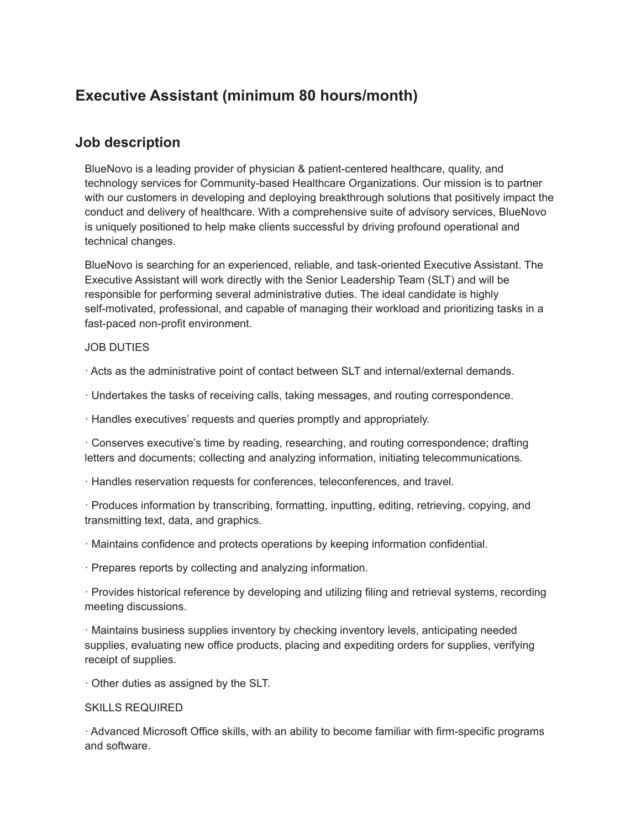## **Executive Assistant (minimum 80 hours/month)**

## **Job description**

BlueNovo is a leading provider of physician & patient-centered healthcare, quality, and technology services for Community-based Healthcare Organizations. Our mission is to partner with our customers in developing and deploying breakthrough solutions that positively impact the conduct and delivery of healthcare. With a comprehensive suite of advisory services, BlueNovo is uniquely positioned to help make clients successful by driving profound operational and technical changes.

BlueNovo is searching for an experienced, reliable, and task-oriented Executive Assistant. The Executive Assistant will work directly with the Senior Leadership Team (SLT) and will be responsible for performing several administrative duties. The ideal candidate is highly self-motivated, professional, and capable of managing their workload and prioritizing tasks in a fast-paced non-profit environment.

## JOB DUTIES

· Acts as the administrative point of contact between SLT and internal/external demands.

· Undertakes the tasks of receiving calls, taking messages, and routing correspondence.

· Handles executives' requests and queries promptly and appropriately.

· Conserves executive's time by reading, researching, and routing correspondence; drafting letters and documents; collecting and analyzing information, initiating telecommunications.

· Handles reservation requests for conferences, teleconferences, and travel.

· Produces information by transcribing, formatting, inputting, editing, retrieving, copying, and transmitting text, data, and graphics.

· Maintains confidence and protects operations by keeping information confidential.

· Prepares reports by collecting and analyzing information.

· Provides historical reference by developing and utilizing filing and retrieval systems, recording meeting discussions.

· Maintains business supplies inventory by checking inventory levels, anticipating needed supplies, evaluating new office products, placing and expediting orders for supplies, verifying receipt of supplies.

· Other duties as assigned by the SLT.

## SKILLS REQUIRED

· Advanced Microsoft Office skills, with an ability to become familiar with firm-specific programs and software.